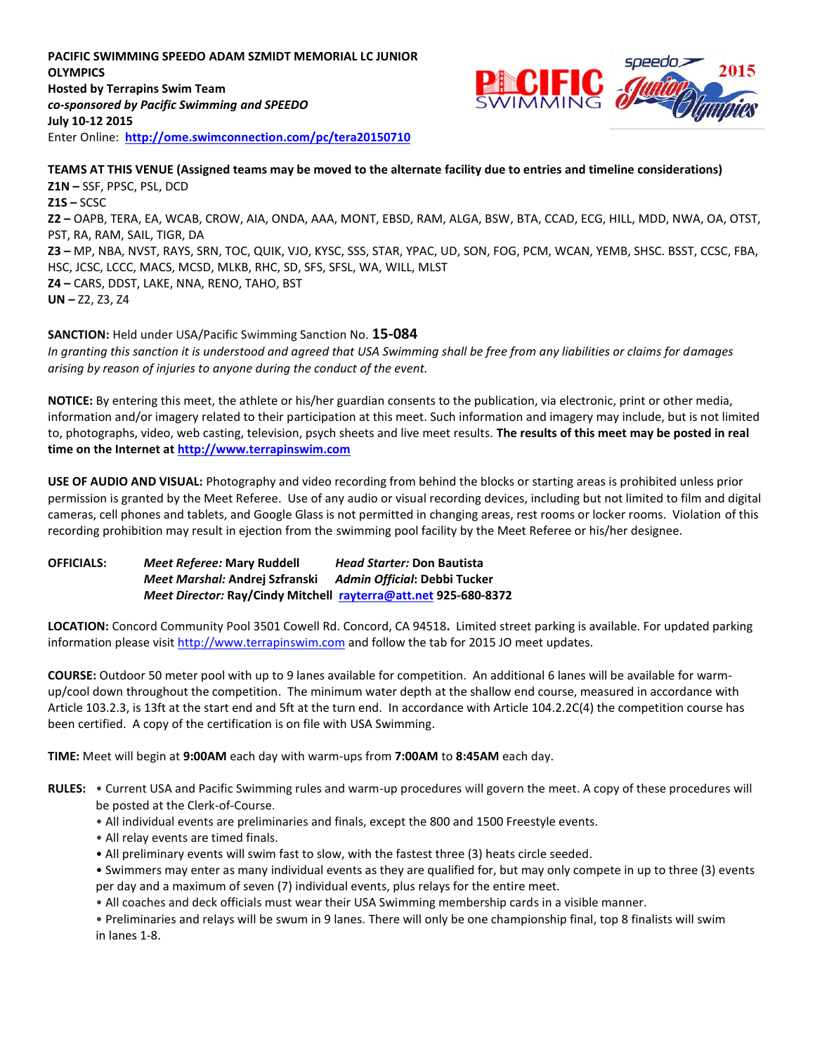**PACIFIC SWIMMING SPEEDO ADAM SZMIDT MEMORIAL LC JUNIOR OLYMPICS Hosted by Terrapins Swim Team** *co-sponsored by Pacific Swimming and SPEEDO* **July 10-12 2015** Enter Online: **<http://ome.swimconnection.com/pc/tera20150710>**



**TEAMS AT THIS VENUE (Assigned teams may be moved to the alternate facility due to entries and timeline considerations) Z1N –** SSF, PPSC, PSL, DCD **Z1S –** SCSC **Z2 –** OAPB, TERA, EA, WCAB, CROW, AIA, ONDA, AAA, MONT, EBSD, RAM, ALGA, BSW, BTA, CCAD, ECG, HILL, MDD, NWA, OA, OTST, PST, RA, RAM, SAIL, TIGR, DA **Z3 –** MP, NBA, NVST, RAYS, SRN, TOC, QUIK, VJO, KYSC, SSS, STAR, YPAC, UD, SON, FOG, PCM, WCAN, YEMB, SHSC. BSST, CCSC, FBA, HSC, JCSC, LCCC, MACS, MCSD, MLKB, RHC, SD, SFS, SFSL, WA, WILL, MLST **Z4 –** CARS, DDST, LAKE, NNA, RENO, TAHO, BST **UN –** Z2, Z3, Z4

**SANCTION:** Held under USA/Pacific Swimming Sanction No. **15-084** *In granting this sanction it is understood and agreed that USA Swimming shall be free from any liabilities or claims for damages arising by reason of injuries to anyone during the conduct of the event.*

**NOTICE:** By entering this meet, the athlete or his/her guardian consents to the publication, via electronic, print or other media, information and/or imagery related to their participation at this meet. Such information and imagery may include, but is not limited to, photographs, video, web casting, television, psych sheets and live meet results. **The results of this meet may be posted in real time on the Internet at [http://www.terrapinswim.com](http://www.terrapinswim.com/)**

**USE OF AUDIO AND VISUAL:** Photography and video recording from behind the blocks or starting areas is prohibited unless prior permission is granted by the Meet Referee. Use of any audio or visual recording devices, including but not limited to film and digital cameras, cell phones and tablets, and Google Glass is not permitted in changing areas, rest rooms or locker rooms. Violation of this recording prohibition may result in ejection from the swimming pool facility by the Meet Referee or his/her designee.

**OFFICIALS:** *Meet Referee:* **Mary Ruddell** *Head Starter:* **Don Bautista** *Meet Marshal:* **Andrej Szfranski** *Admin Official***: Debbi Tucker** *Meet Director:* **Ray/Cindy Mitchell [rayterra@att.net](mailto:rayterra@att.net) 925-680-8372**

**LOCATION:** Concord Community Pool 3501 Cowell Rd. Concord, CA 94518**.** Limited street parking is available. For updated parking information please visi[t http://www.terrapinswim.com](http://www.terrapinswim.com/) and follow the tab for 2015 JO meet updates.

**COURSE:** Outdoor 50 meter pool with up to 9 lanes available for competition.An additional 6 lanes will be available for warmup/cool down throughout the competition. The minimum water depth at the shallow end course, measured in accordance with Article 103.2.3, is 13ft at the start end and 5ft at the turn end. In accordance with Article 104.2.2C(4) the competition course has been certified. A copy of the certification is on file with USA Swimming.

**TIME:** Meet will begin at **9:00AM** each day with warm-ups from **7:00AM** to **8:45AM** each day.

- **RULES:** Current USA and Pacific Swimming rules and warm-up procedures will govern the meet. A copy of these procedures will be posted at the Clerk-of-Course.
	- All individual events are preliminaries and finals, except the 800 and 1500 Freestyle events.
	- All relay events are timed finals.
	- All preliminary events will swim fast to slow, with the fastest three (3) heats circle seeded.

• Swimmers may enter as many individual events as they are qualified for, but may only compete in up to three (3) events per day and a maximum of seven (7) individual events, plus relays for the entire meet.

- All coaches and deck officials must wear their USA Swimming membership cards in a visible manner.
- Preliminaries and relays will be swum in 9 lanes. There will only be one championship final, top 8 finalists will swim in lanes 1-8.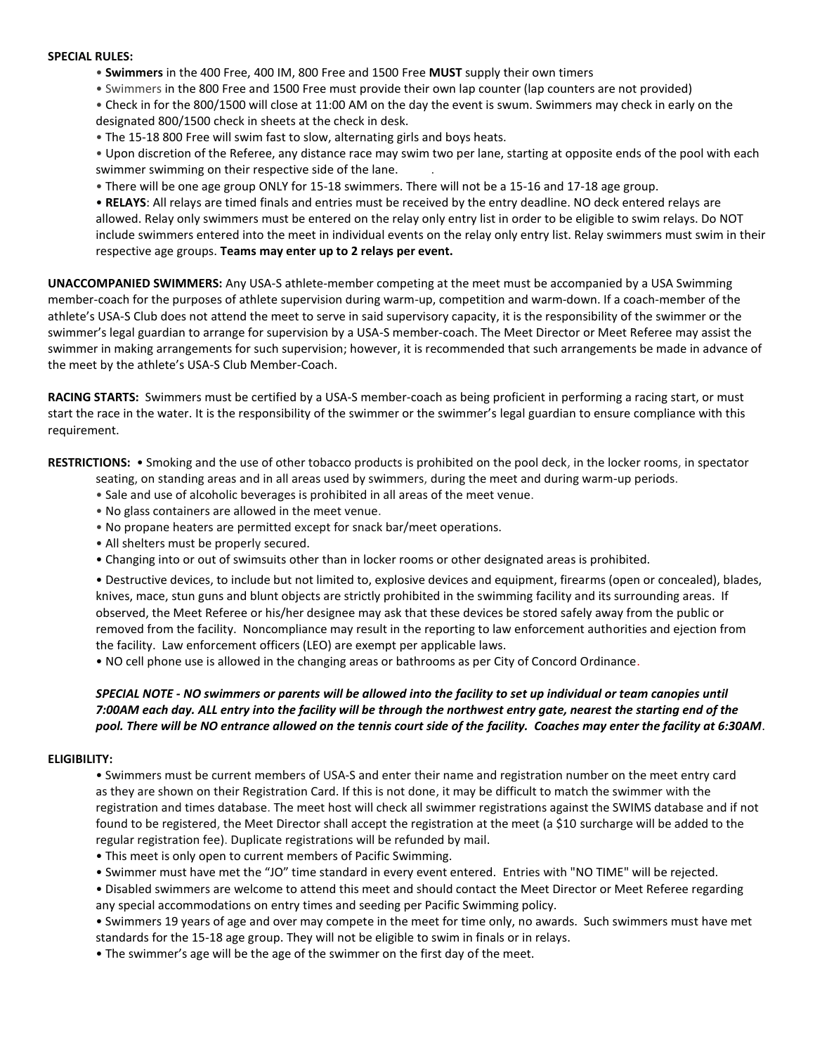#### **SPECIAL RULES:**

- **Swimmers** in the 400 Free, 400 IM, 800 Free and 1500 Free **MUST** supply their own timers
- Swimmers in the 800 Free and 1500 Free must provide their own lap counter (lap counters are not provided)

• Check in for the 800/1500 will close at 11:00 AM on the day the event is swum. Swimmers may check in early on the designated 800/1500 check in sheets at the check in desk.

• The 15-18 800 Free will swim fast to slow, alternating girls and boys heats.

• Upon discretion of the Referee, any distance race may swim two per lane, starting at opposite ends of the pool with each swimmer swimming on their respective side of the lane. .

• There will be one age group ONLY for 15-18 swimmers. There will not be a 15-16 and 17-18 age group.

• **RELAYS**: All relays are timed finals and entries must be received by the entry deadline. NO deck entered relays are allowed. Relay only swimmers must be entered on the relay only entry list in order to be eligible to swim relays. Do NOT include swimmers entered into the meet in individual events on the relay only entry list. Relay swimmers must swim in their respective age groups. **Teams may enter up to 2 relays per event.**

**UNACCOMPANIED SWIMMERS:** Any USA-S athlete-member competing at the meet must be accompanied by a USA Swimming member-coach for the purposes of athlete supervision during warm-up, competition and warm-down. If a coach-member of the athlete's USA-S Club does not attend the meet to serve in said supervisory capacity, it is the responsibility of the swimmer or the swimmer's legal guardian to arrange for supervision by a USA-S member-coach. The Meet Director or Meet Referee may assist the swimmer in making arrangements for such supervision; however, it is recommended that such arrangements be made in advance of the meet by the athlete's USA-S Club Member-Coach.

**RACING STARTS:** Swimmers must be certified by a USA-S member-coach as being proficient in performing a racing start, or must start the race in the water. It is the responsibility of the swimmer or the swimmer's legal guardian to ensure compliance with this requirement.

**RESTRICTIONS:** • Smoking and the use of other tobacco products is prohibited on the pool deck, in the locker rooms, in spectator

- seating, on standing areas and in all areas used by swimmers, during the meet and during warm-up periods.
- Sale and use of alcoholic beverages is prohibited in all areas of the meet venue.
- No glass containers are allowed in the meet venue.
- No propane heaters are permitted except for snack bar/meet operations.
- All shelters must be properly secured.
- Changing into or out of swimsuits other than in locker rooms or other designated areas is prohibited.

• Destructive devices, to include but not limited to, explosive devices and equipment, firearms (open or concealed), blades, knives, mace, stun guns and blunt objects are strictly prohibited in the swimming facility and its surrounding areas. If observed, the Meet Referee or his/her designee may ask that these devices be stored safely away from the public or removed from the facility. Noncompliance may result in the reporting to law enforcement authorities and ejection from the facility. Law enforcement officers (LEO) are exempt per applicable laws.

• NO cell phone use is allowed in the changing areas or bathrooms as per City of Concord Ordinance.

# *SPECIAL NOTE - NO swimmers or parents will be allowed into the facility to set up individual or team canopies until 7:00AM each day. ALL entry into the facility will be through the northwest entry gate, nearest the starting end of the pool. There will be NO entrance allowed on the tennis court side of the facility. Coaches may enter the facility at 6:30AM*.

### **ELIGIBILITY:**

• Swimmers must be current members of USA-S and enter their name and registration number on the meet entry card as they are shown on their Registration Card. If this is not done, it may be difficult to match the swimmer with the registration and times database. The meet host will check all swimmer registrations against the SWIMS database and if not found to be registered, the Meet Director shall accept the registration at the meet (a \$10 surcharge will be added to the regular registration fee). Duplicate registrations will be refunded by mail.

- This meet is only open to current members of Pacific Swimming.
- Swimmer must have met the "JO" time standard in every event entered. Entries with "NO TIME" will be rejected.

• Disabled swimmers are welcome to attend this meet and should contact the Meet Director or Meet Referee regarding any special accommodations on entry times and seeding per Pacific Swimming policy.

• Swimmers 19 years of age and over may compete in the meet for time only, no awards. Such swimmers must have met standards for the 15-18 age group. They will not be eligible to swim in finals or in relays.

• The swimmer's age will be the age of the swimmer on the first day of the meet.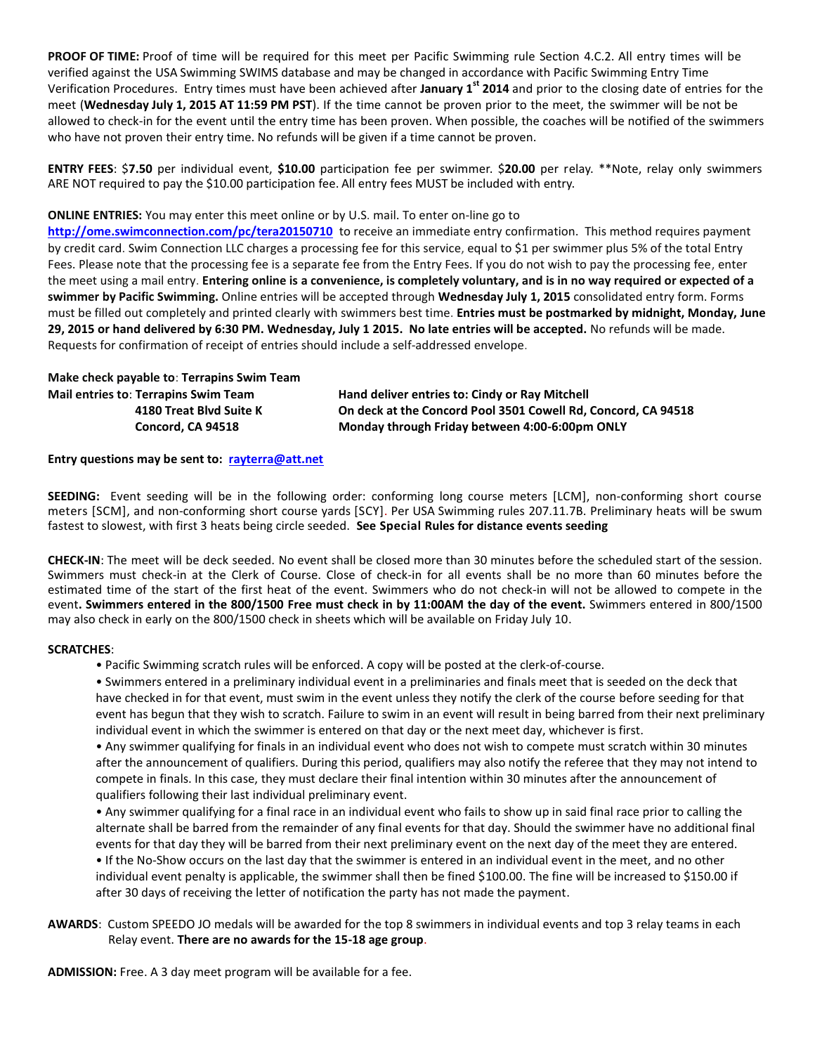**PROOF OF TIME:** Proof of time will be required for this meet per Pacific Swimming rule Section 4.C.2. All entry times will be verified against the USA Swimming SWIMS database and may be changed in accordance with Pacific Swimming Entry Time Verification Procedures. Entry times must have been achieved after **January 1st 2014** and prior to the closing date of entries for the meet (**Wednesday July 1, 2015 AT 11:59 PM PST**). If the time cannot be proven prior to the meet, the swimmer will be not be allowed to check-in for the event until the entry time has been proven. When possible, the coaches will be notified of the swimmers who have not proven their entry time. No refunds will be given if a time cannot be proven.

**ENTRY FEES**: \$**7.50** per individual event, **\$10.00** participation fee per swimmer. \$**20.00** per relay. \*\*Note, relay only swimmers ARE NOT required to pay the \$10.00 participation fee. All entry fees MUST be included with entry.

### **ONLINE ENTRIES:** You may enter this meet online or by U.S. mail. To enter on-line go to

**<http://ome.swimconnection.com/pc/tera20150710>** to receive an immediate entry confirmation. This method requires payment by credit card. Swim Connection LLC charges a processing fee for this service, equal to \$1 per swimmer plus 5% of the total Entry Fees. Please note that the processing fee is a separate fee from the Entry Fees. If you do not wish to pay the processing fee, enter the meet using a mail entry. **Entering online is a convenience, is completely voluntary, and is in no way required or expected of a swimmer by Pacific Swimming.** Online entries will be accepted through **Wednesday July 1, 2015** consolidated entry form. Forms must be filled out completely and printed clearly with swimmers best time. **Entries must be postmarked by midnight, Monday, June 29, 2015 or hand delivered by 6:30 PM. Wednesday, July 1 2015. No late entries will be accepted.** No refunds will be made. Requests for confirmation of receipt of entries should include a self-addressed envelope.

**Make check payable to**: **Terrapins Swim Team Mail entries to**: **Terrapins Swim Team Hand deliver entries to: Cindy or Ray Mitchell**

 **4180 Treat Blvd Suite K On deck at the Concord Pool 3501 Cowell Rd, Concord, CA 94518 Concord, CA 94518 Monday through Friday between 4:00-6:00pm ONLY**

### **Entry questions may be sent to: [rayterra@att.net](mailto:rayterra@att.net)**

**SEEDING:** Event seeding will be in the following order: conforming long course meters [LCM], non-conforming short course meters [SCM], and non-conforming short course yards [SCY]. Per USA Swimming rules 207.11.7B. Preliminary heats will be swum fastest to slowest, with first 3 heats being circle seeded. **See Special Rules for distance events seeding**

**CHECK-IN**: The meet will be deck seeded. No event shall be closed more than 30 minutes before the scheduled start of the session. Swimmers must check-in at the Clerk of Course. Close of check-in for all events shall be no more than 60 minutes before the estimated time of the start of the first heat of the event. Swimmers who do not check-in will not be allowed to compete in the event**. Swimmers entered in the 800/1500 Free must check in by 11:00AM the day of the event.** Swimmers entered in 800/1500 may also check in early on the 800/1500 check in sheets which will be available on Friday July 10.

### **SCRATCHES**:

- Pacific Swimming scratch rules will be enforced. A copy will be posted at the clerk-of-course.
- Swimmers entered in a preliminary individual event in a preliminaries and finals meet that is seeded on the deck that have checked in for that event, must swim in the event unless they notify the clerk of the course before seeding for that event has begun that they wish to scratch. Failure to swim in an event will result in being barred from their next preliminary individual event in which the swimmer is entered on that day or the next meet day, whichever is first.

• Any swimmer qualifying for finals in an individual event who does not wish to compete must scratch within 30 minutes after the announcement of qualifiers. During this period, qualifiers may also notify the referee that they may not intend to compete in finals. In this case, they must declare their final intention within 30 minutes after the announcement of qualifiers following their last individual preliminary event.

• Any swimmer qualifying for a final race in an individual event who fails to show up in said final race prior to calling the alternate shall be barred from the remainder of any final events for that day. Should the swimmer have no additional final events for that day they will be barred from their next preliminary event on the next day of the meet they are entered.

• If the No-Show occurs on the last day that the swimmer is entered in an individual event in the meet, and no other individual event penalty is applicable, the swimmer shall then be fined \$100.00. The fine will be increased to \$150.00 if after 30 days of receiving the letter of notification the party has not made the payment.

**AWARDS**: Custom SPEEDO JO medals will be awarded for the top 8 swimmers in individual events and top 3 relay teams in each Relay event. **There are no awards for the 15-18 age group**.

**ADMISSION:** Free. A 3 day meet program will be available for a fee.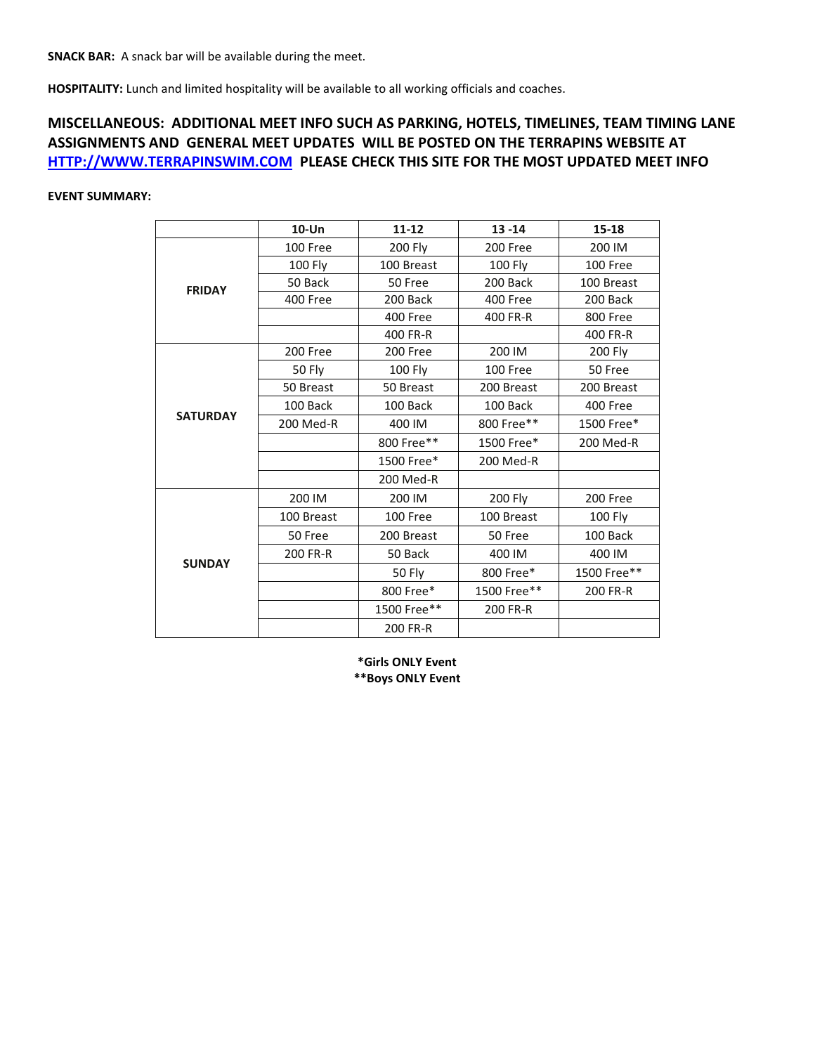**HOSPITALITY:** Lunch and limited hospitality will be available to all working officials and coaches.

# **MISCELLANEOUS: ADDITIONAL MEET INFO SUCH AS PARKING, HOTELS, TIMELINES, TEAM TIMING LANE ASSIGNMENTS AND GENERAL MEET UPDATES WILL BE POSTED ON THE TERRAPINS WEBSITE AT [HTTP://WWW.TERRAPINSWIM.COM](http://www.terrapinswim.com/) PLEASE CHECK THIS SITE FOR THE MOST UPDATED MEET INFO**

## **EVENT SUMMARY:**

|                 | $10$ -Un   | 11-12                                                                                                                                                                                                                                      | $13 - 14$   | $15 - 18$   |
|-----------------|------------|--------------------------------------------------------------------------------------------------------------------------------------------------------------------------------------------------------------------------------------------|-------------|-------------|
|                 | 100 Free   | 200 Fly                                                                                                                                                                                                                                    | 200 Free    | 200 IM      |
|                 | 100 Fly    | 100 Breast                                                                                                                                                                                                                                 | 100 Fly     | 100 Free    |
| <b>FRIDAY</b>   | 50 Back    | 50 Free<br>200 Back<br>400 Free<br>400 FR-R<br>200 Free<br><b>100 Fly</b><br>50 Breast<br>100 Back<br>400 IM<br>800 Free**<br>1500 Free*<br>200 Med-R<br>200 IM<br>100 Free<br>200 Breast<br>50 Back<br>50 Fly<br>800 Free*<br>1500 Free** | 200 Back    | 100 Breast  |
|                 | 400 Free   |                                                                                                                                                                                                                                            | 400 Free    | 200 Back    |
|                 |            |                                                                                                                                                                                                                                            | 400 FR-R    | 800 Free    |
|                 |            |                                                                                                                                                                                                                                            |             | 400 FR-R    |
|                 | 200 Free   |                                                                                                                                                                                                                                            | 200 IM      | 200 Fly     |
|                 | 50 Fly     |                                                                                                                                                                                                                                            | 100 Free    | 50 Free     |
| <b>SATURDAY</b> | 50 Breast  |                                                                                                                                                                                                                                            | 200 Breast  | 200 Breast  |
|                 | 100 Back   |                                                                                                                                                                                                                                            | 100 Back    | 400 Free    |
|                 | 200 Med-R  |                                                                                                                                                                                                                                            | 800 Free**  | 1500 Free*  |
|                 |            |                                                                                                                                                                                                                                            | 1500 Free*  | 200 Med-R   |
|                 |            |                                                                                                                                                                                                                                            | 200 Med-R   |             |
|                 |            |                                                                                                                                                                                                                                            |             |             |
|                 | 200 IM     |                                                                                                                                                                                                                                            | 200 Fly     | 200 Free    |
|                 | 100 Breast |                                                                                                                                                                                                                                            | 100 Breast  | 100 Fly     |
|                 | 50 Free    |                                                                                                                                                                                                                                            | 50 Free     | 100 Back    |
|                 | 200 FR-R   |                                                                                                                                                                                                                                            | 400 IM      | 400 IM      |
| <b>SUNDAY</b>   |            |                                                                                                                                                                                                                                            | 800 Free*   | 1500 Free** |
|                 |            |                                                                                                                                                                                                                                            | 1500 Free** | 200 FR-R    |
|                 |            |                                                                                                                                                                                                                                            | 200 FR-R    |             |
|                 |            | 200 FR-R                                                                                                                                                                                                                                   |             |             |

**\*Girls ONLY Event \*\*Boys ONLY Event**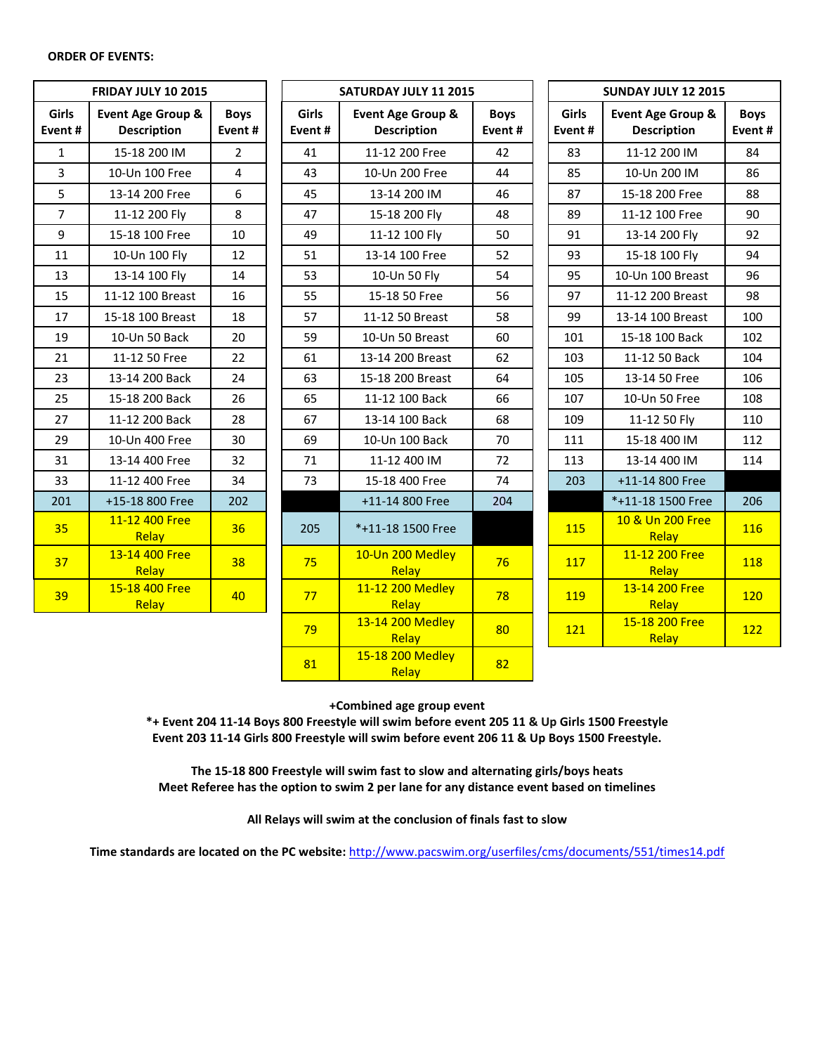#### **ORDER OF EVENTS:**

|                        | <b>FRIDAY JULY 10 2015</b>              |                       |                 | SATURDAY JULY 11 2015                   |                       | <b>SUNDAY JULY 12 2015</b> |                                         |                       |
|------------------------|-----------------------------------------|-----------------------|-----------------|-----------------------------------------|-----------------------|----------------------------|-----------------------------------------|-----------------------|
| <b>Girls</b><br>Event# | Event Age Group &<br><b>Description</b> | <b>Boys</b><br>Event# | Girls<br>Event# | Event Age Group &<br><b>Description</b> | <b>Boys</b><br>Event# | Girls<br>Event#            | Event Age Group &<br><b>Description</b> | <b>Boys</b><br>Event# |
| $\mathbf{1}$           | 15-18 200 IM                            | $\overline{2}$        | 41              | 11-12 200 Free                          | 42                    | 83                         | 11-12 200 IM                            | 84                    |
| $\overline{3}$         | 10-Un 100 Free                          | 4                     | 43              | 10-Un 200 Free                          | 44                    | 85                         | 10-Un 200 IM                            | 86                    |
| 5                      | 13-14 200 Free                          | 6                     | 45              | 13-14 200 IM                            | 46                    | 87                         | 15-18 200 Free                          | 88                    |
| $\overline{7}$         | 11-12 200 Fly                           | 8                     | 47              | 15-18 200 Fly                           | 48                    | 89                         | 11-12 100 Free                          | 90                    |
| 9                      | 15-18 100 Free                          | 10                    | 49              | 11-12 100 Fly                           | 50                    | 91                         | 13-14 200 Fly                           | 92                    |
| 11                     | 10-Un 100 Fly                           | 12                    | 51              | 13-14 100 Free                          | 52                    | 93                         | 15-18 100 Fly                           | 94                    |
| 13                     | 13-14 100 Fly                           | 14                    | 53              | 10-Un 50 Fly                            | 54                    | 95                         | 10-Un 100 Breast                        | 96                    |
| 15                     | 11-12 100 Breast                        | 16                    | 55              | 15-18 50 Free                           | 56                    | 97                         | 11-12 200 Breast                        | 98                    |
| 17                     | 15-18 100 Breast                        | 18                    | 57              | 11-12 50 Breast                         | 58                    | 99                         | 13-14 100 Breast                        | 100                   |
| 19                     | 10-Un 50 Back                           | 20                    | 59              | 10-Un 50 Breast                         | 60                    | 101                        | 15-18 100 Back                          | 102                   |
| 21                     | 11-12 50 Free                           | 22                    | 61              | 13-14 200 Breast                        | 62                    | 103                        | 11-12 50 Back                           | 104                   |
| 23                     | 13-14 200 Back                          | 24                    | 63              | 15-18 200 Breast                        | 64                    | 105                        | 13-14 50 Free                           | 106                   |
| 25                     | 15-18 200 Back                          | 26                    | 65              | 11-12 100 Back                          | 66                    | 107                        | 10-Un 50 Free                           | 108                   |
| 27                     | 11-12 200 Back                          | 28                    | 67              | 13-14 100 Back                          | 68                    | 109                        | 11-12 50 Fly                            | 110                   |
| 29                     | 10-Un 400 Free                          | 30                    | 69              | 10-Un 100 Back                          | 70                    | 111                        | 15-18 400 IM                            | 112                   |
| 31                     | 13-14 400 Free                          | 32                    | 71              | 11-12 400 IM                            | 72                    | 113                        | 13-14 400 IM                            | 114                   |
| 33                     | 11-12 400 Free                          | 34                    | 73              | 15-18 400 Free                          | 74                    | 203                        | +11-14 800 Free                         |                       |
| 201                    | +15-18 800 Free                         | 202                   |                 | +11-14 800 Free                         | 204                   |                            | *+11-18 1500 Free                       | 206                   |
| 35                     | 11-12 400 Free<br>Relay                 | 36                    | 205             | *+11-18 1500 Free                       |                       | 115                        | 10 & Un 200 Free<br>Relay               | 116                   |
| 37                     | 13-14 400 Free<br>Relay                 | 38                    | 75              | 10-Un 200 Medley<br>Relay               | 76                    | 117                        | 11-12 200 Free<br>Relay                 | 118                   |
| 39                     | 15-18 400 Free<br>Relay                 | 40                    | 77              | 11-12 200 Medley<br>Relay               | 78                    | 119                        | 13-14 200 Free<br>Relay                 | 120                   |
|                        |                                         |                       | 79              | 13-14 200 Medley<br>Relay               | 80                    | 121                        | 15-18 200 Free<br>Relay                 | 122                   |

**+Combined age group event**

 $\begin{array}{|c|c|c|c|}\n\hline\n\text{Relay} & & 82 \\
\hline\n\end{array}$ 

81 15-18 200 Medley

**\*+ Event 204 11-14 Boys 800 Freestyle will swim before event 205 11 & Up Girls 1500 Freestyle Event 203 11-14 Girls 800 Freestyle will swim before event 206 11 & Up Boys 1500 Freestyle.**

**The 15-18 800 Freestyle will swim fast to slow and alternating girls/boys heats Meet Referee has the option to swim 2 per lane for any distance event based on timelines**

**All Relays will swim at the conclusion of finals fast to slow**

**Time standards are located on the PC website:** <http://www.pacswim.org/userfiles/cms/documents/551/times14.pdf>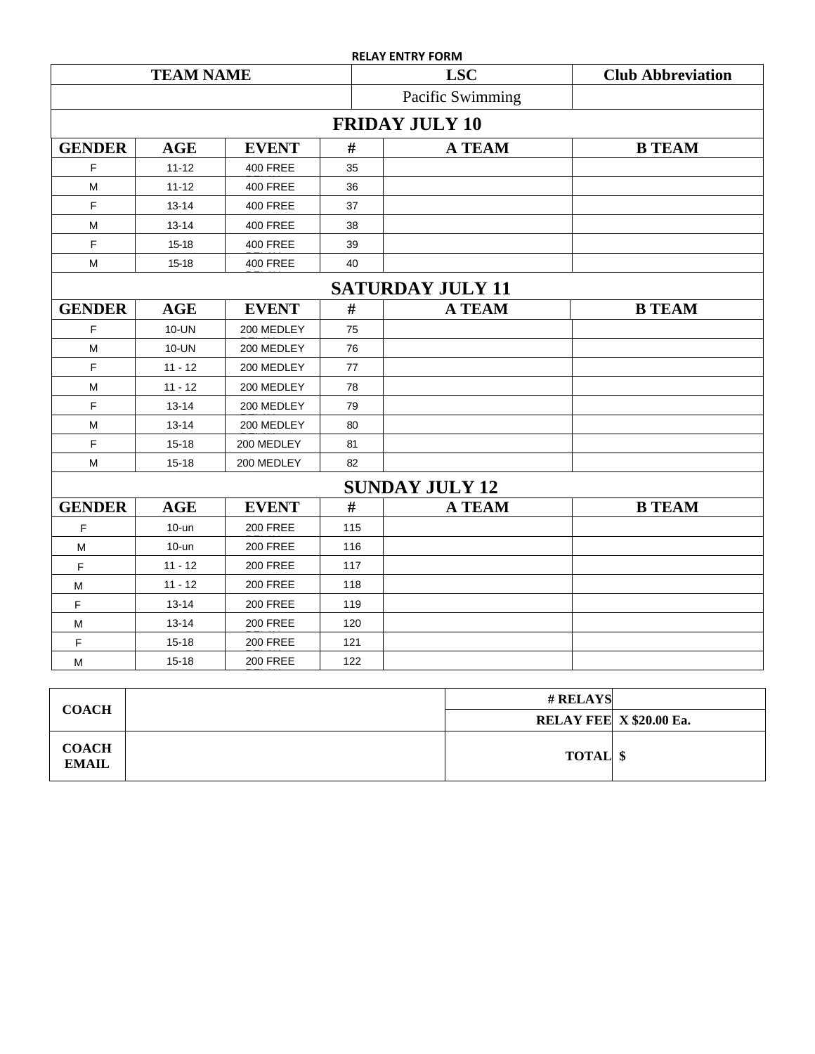|                  |            |                 |      | <b>RELAY ENTRY FORM</b> |                          |  |  |  |  |
|------------------|------------|-----------------|------|-------------------------|--------------------------|--|--|--|--|
| <b>TEAM NAME</b> |            |                 |      | <b>LSC</b>              | <b>Club Abbreviation</b> |  |  |  |  |
|                  |            |                 |      | Pacific Swimming        |                          |  |  |  |  |
|                  |            |                 |      | <b>FRIDAY JULY 10</b>   |                          |  |  |  |  |
| <b>GENDER</b>    | <b>AGE</b> | <b>EVENT</b>    | #    | <b>A TEAM</b>           | <b>B TEAM</b>            |  |  |  |  |
| F                | $11 - 12$  | <b>400 FREE</b> | 35   |                         |                          |  |  |  |  |
| M                | $11 - 12$  | <b>400 FREE</b> | 36   |                         |                          |  |  |  |  |
| F                | $13 - 14$  | <b>400 FREE</b> | 37   |                         |                          |  |  |  |  |
| M                | $13 - 14$  | <b>400 FREE</b> | 38   |                         |                          |  |  |  |  |
| F                | $15 - 18$  | <b>400 FREE</b> | 39   |                         |                          |  |  |  |  |
| M                | $15 - 18$  | <b>400 FREE</b> | 40   |                         |                          |  |  |  |  |
|                  |            |                 |      | <b>SATURDAY JULY 11</b> |                          |  |  |  |  |
| <b>GENDER</b>    | <b>AGE</b> | <b>EVENT</b>    | $\#$ | <b>A TEAM</b>           | <b>B TEAM</b>            |  |  |  |  |
| F                | 10-UN      | 200 MEDLEY      | 75   |                         |                          |  |  |  |  |
| M                | 10-UN      | 200 MEDLEY      | 76   |                         |                          |  |  |  |  |
| F                | $11 - 12$  | 200 MEDLEY      | 77   |                         |                          |  |  |  |  |
| M                | $11 - 12$  | 200 MEDLEY      | 78   |                         |                          |  |  |  |  |
| F                | $13 - 14$  | 200 MEDLEY      | 79   |                         |                          |  |  |  |  |
| M                | $13 - 14$  | 200 MEDLEY      | 80   |                         |                          |  |  |  |  |
| F                | 15-18      | 200 MEDLEY      | 81   |                         |                          |  |  |  |  |
| M                | $15 - 18$  | 200 MEDLEY      | 82   |                         |                          |  |  |  |  |
|                  |            |                 |      | <b>SUNDAY JULY 12</b>   |                          |  |  |  |  |
| <b>GENDER</b>    | <b>AGE</b> | <b>EVENT</b>    | #    | <b>A TEAM</b>           | <b>B TEAM</b>            |  |  |  |  |
| F                | $10 -$ un  | <b>200 FREE</b> | 115  |                         |                          |  |  |  |  |
| M                | $10 -$ un  | <b>200 FREE</b> | 116  |                         |                          |  |  |  |  |
| F                | $11 - 12$  | <b>200 FREE</b> | 117  |                         |                          |  |  |  |  |
| M                | $11 - 12$  | <b>200 FREE</b> | 118  |                         |                          |  |  |  |  |
| F                | $13 - 14$  | <b>200 FREE</b> | 119  |                         |                          |  |  |  |  |
| М                | $13 - 14$  | <b>200 FREE</b> | 120  |                         |                          |  |  |  |  |
| F                | $15 - 18$  | <b>200 FREE</b> | 121  |                         |                          |  |  |  |  |
| М                | $15 - 18$  | <b>200 FREE</b> | 122  |                         |                          |  |  |  |  |
|                  |            |                 |      |                         |                          |  |  |  |  |
|                  |            |                 |      |                         | # RELAYS                 |  |  |  |  |

| <b>COACH</b>                 | # RELAYS                |  |
|------------------------------|-------------------------|--|
|                              | RELAY FEE X \$20.00 Ea. |  |
| <b>COACH</b><br><b>EMAIL</b> | <b>TOTAL</b> \$         |  |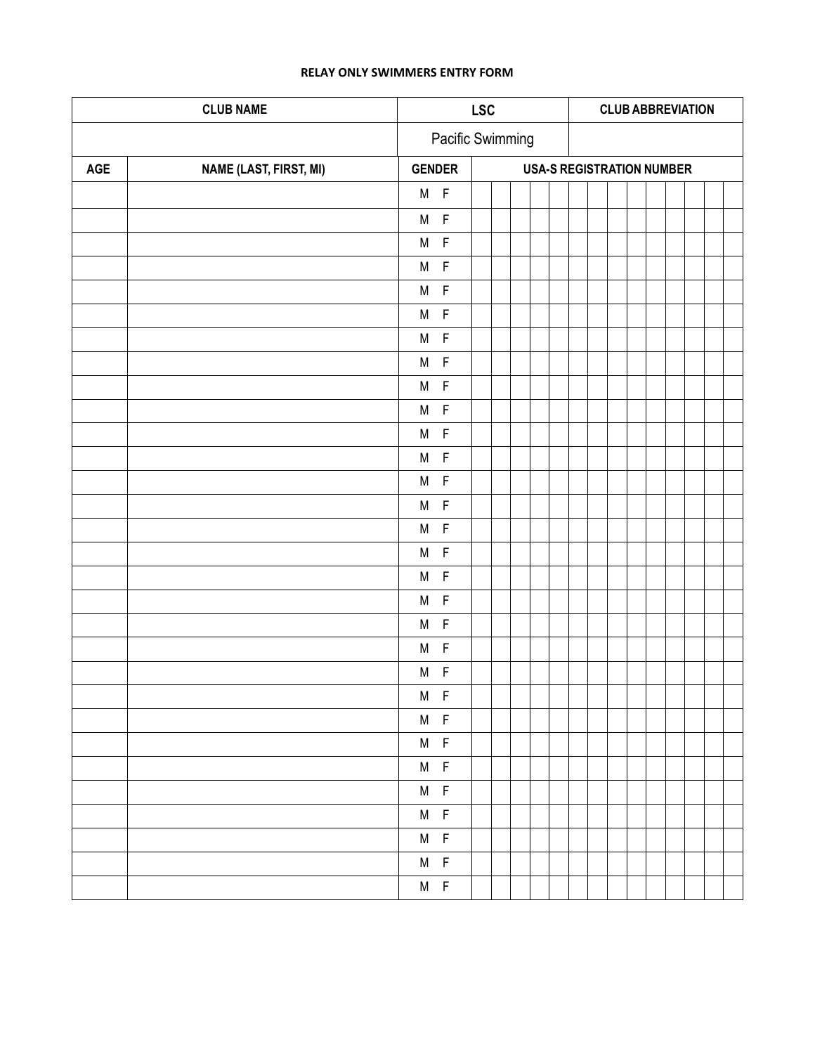## **RELAY ONLY SWIMMERS ENTRY FORM**

| <b>CLUB NAME</b> |                               | <b>LSC</b>        |                |                  |  |                                  | <b>CLUB ABBREVIATION</b> |  |  |  |  |  |  |  |
|------------------|-------------------------------|-------------------|----------------|------------------|--|----------------------------------|--------------------------|--|--|--|--|--|--|--|
|                  |                               |                   |                | Pacific Swimming |  |                                  |                          |  |  |  |  |  |  |  |
| AGE              | <b>NAME (LAST, FIRST, MI)</b> | <b>GENDER</b>     |                |                  |  | <b>USA-S REGISTRATION NUMBER</b> |                          |  |  |  |  |  |  |  |
|                  |                               | $M$ F             |                |                  |  |                                  |                          |  |  |  |  |  |  |  |
|                  |                               | $M$ $F$           |                |                  |  |                                  |                          |  |  |  |  |  |  |  |
|                  |                               | $M$ $F$           |                |                  |  |                                  |                          |  |  |  |  |  |  |  |
|                  |                               | $M$ $F$           |                |                  |  |                                  |                          |  |  |  |  |  |  |  |
|                  |                               | $M$ F             |                |                  |  |                                  |                          |  |  |  |  |  |  |  |
|                  |                               | $M$ F             |                |                  |  |                                  |                          |  |  |  |  |  |  |  |
|                  |                               | $M$ F             |                |                  |  |                                  |                          |  |  |  |  |  |  |  |
|                  |                               | $M$ F             |                |                  |  |                                  |                          |  |  |  |  |  |  |  |
|                  |                               | $M$ F             |                |                  |  |                                  |                          |  |  |  |  |  |  |  |
|                  |                               | $M$ $F$           |                |                  |  |                                  |                          |  |  |  |  |  |  |  |
|                  |                               | $M$ F             |                |                  |  |                                  |                          |  |  |  |  |  |  |  |
|                  |                               | $M$ F             |                |                  |  |                                  |                          |  |  |  |  |  |  |  |
|                  |                               | $M$ F             |                |                  |  |                                  |                          |  |  |  |  |  |  |  |
|                  |                               | $\mathsf{F}$<br>M |                |                  |  |                                  |                          |  |  |  |  |  |  |  |
|                  |                               | $\mathsf F$<br>M  |                |                  |  |                                  |                          |  |  |  |  |  |  |  |
|                  |                               | M                 | $\mathsf{F}$   |                  |  |                                  |                          |  |  |  |  |  |  |  |
|                  |                               | M                 | $\mathsf F$    |                  |  |                                  |                          |  |  |  |  |  |  |  |
|                  |                               | M                 | $\overline{F}$ |                  |  |                                  |                          |  |  |  |  |  |  |  |
|                  |                               | M                 | $\overline{F}$ |                  |  |                                  |                          |  |  |  |  |  |  |  |
|                  |                               | M                 | $\mathsf F$    |                  |  |                                  |                          |  |  |  |  |  |  |  |
|                  |                               | M                 | $\mathsf F$    |                  |  |                                  |                          |  |  |  |  |  |  |  |
|                  |                               | M F               |                |                  |  |                                  |                          |  |  |  |  |  |  |  |
|                  |                               | $M$ F             |                |                  |  |                                  |                          |  |  |  |  |  |  |  |
|                  |                               | $M$ F             |                |                  |  |                                  |                          |  |  |  |  |  |  |  |
|                  |                               | $M$ F             |                |                  |  |                                  |                          |  |  |  |  |  |  |  |
|                  |                               | $M$ F             |                |                  |  |                                  |                          |  |  |  |  |  |  |  |
|                  |                               | $M$ F             |                |                  |  |                                  |                          |  |  |  |  |  |  |  |
|                  |                               | $M$ F             |                |                  |  |                                  |                          |  |  |  |  |  |  |  |
|                  |                               | $M$ F             |                |                  |  |                                  |                          |  |  |  |  |  |  |  |
|                  |                               | $M$ F             |                |                  |  |                                  |                          |  |  |  |  |  |  |  |